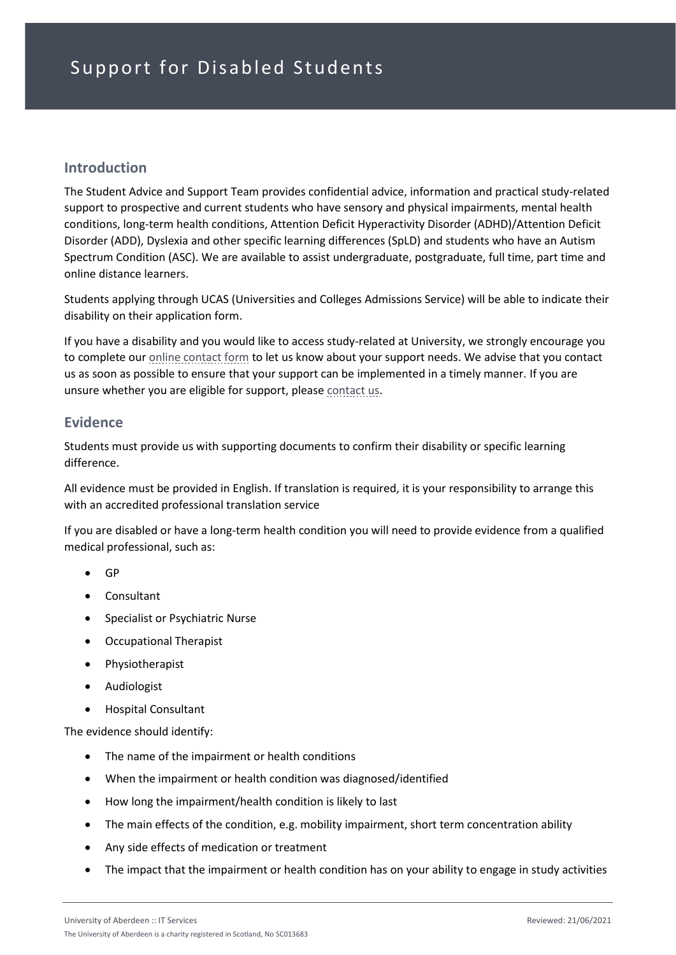### **Introduction**

The Student Advice and Support Team provides confidential advice, information and practical study-related support to prospective and current students who have sensory and physical impairments, mental health conditions, long-term health conditions, Attention Deficit Hyperactivity Disorder (ADHD)/Attention Deficit Disorder (ADD), Dyslexia and other specific learning differences (SpLD) and students who have an Autism Spectrum Condition (ASC). We are available to assist undergraduate, postgraduate, full time, part time and online distance learners.

Students applying through UCAS (Universities and Colleges Admissions Service) will be able to indicate their disability on their application form.

If you have a disability and you would like to access study-related at University, we strongly encourage you to complete our [online contact form](https://www.abdn.ac.uk/students/forms/disability-advisory-service/) to let us know about your support needs. We advise that you contact us as soon as possible to ensure that your support can be implemented in a timely manner. If you are unsure whether you are eligible for support, please [contact us.](https://www.abdn.ac.uk/students/student-life/student-advice-and-support.php#panel3408)

#### **Evidence**

Students must provide us with supporting documents to confirm their disability or specific learning difference.

All evidence must be provided in English. If translation is required, it is your responsibility to arrange this with an accredited professional translation service

If you are disabled or have a long-term health condition you will need to provide evidence from a qualified medical professional, such as:

- GP
- Consultant
- Specialist or Psychiatric Nurse
- Occupational Therapist
- Physiotherapist
- Audiologist
- Hospital Consultant

The evidence should identify:

- The name of the impairment or health conditions
- When the impairment or health condition was diagnosed/identified
- How long the impairment/health condition is likely to last
- The main effects of the condition, e.g. mobility impairment, short term concentration ability
- Any side effects of medication or treatment
- The impact that the impairment or health condition has on your ability to engage in study activities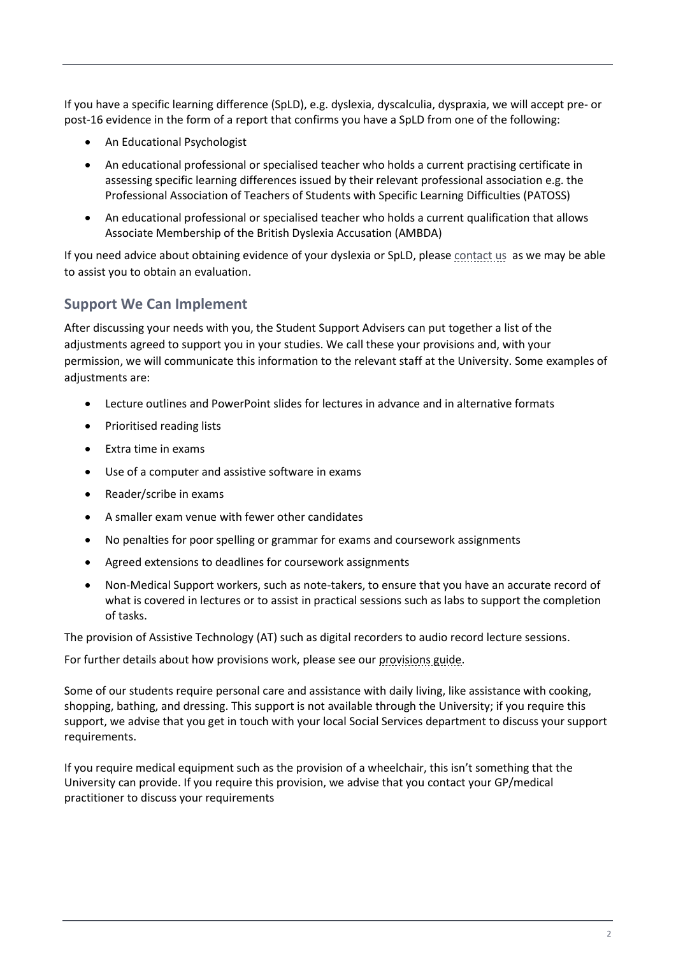If you have a specific learning difference (SpLD), e.g. dyslexia, dyscalculia, dyspraxia, we will accept pre- or post-16 evidence in the form of a report that confirms you have a SpLD from one of the following:

- An Educational Psychologist
- An educational professional or specialised teacher who holds a current practising certificate in assessing specific learning differences issued by their relevant professional association e.g. the Professional Association of Teachers of Students with Specific Learning Difficulties (PATOSS)
- An educational professional or specialised teacher who holds a current qualification that allows Associate Membership of the British Dyslexia Accusation (AMBDA)

If you need advice about obtaining evidence of your dyslexia or SpLD, please [contact us](https://www.abdn.ac.uk/students/student-life/student-advice-and-support.php#panel3408) as we may be able to assist you to obtain an evaluation.

### **Support We Can Implement**

After discussing your needs with you, the Student Support Advisers can put together a list of the adjustments agreed to support you in your studies. We call these your provisions and, with your permission, we will communicate this information to the relevant staff at the University. Some examples of adjustments are:

- Lecture outlines and PowerPoint slides for lectures in advance and in alternative formats
- Prioritised reading lists
- Extra time in exams
- Use of a computer and assistive software in exams
- Reader/scribe in exams
- A smaller exam venue with fewer other candidates
- No penalties for poor spelling or grammar for exams and coursework assignments
- Agreed extensions to deadlines for coursework assignments
- Non-Medical Support workers, such as note-takers, to ensure that you have an accurate record of what is covered in lectures or to assist in practical sessions such as labs to support the completion of tasks.

The provision of Assistive Technology (AT) such as digital recorders to audio record lecture sessions.

For further details about how provisions work, please see our [provisions guide.](https://www.abdn.ac.uk/students/documents/Guide%20to%20Provisions%202021-22%20(16%20Sep%202021).pdf)

Some of our students require personal care and assistance with daily living, like assistance with cooking, shopping, bathing, and dressing. This support is not available through the University; if you require this support, we advise that you get in touch with your local Social Services department to discuss your support requirements.

If you require medical equipment such as the provision of a wheelchair, this isn't something that the University can provide. If you require this provision, we advise that you contact your GP/medical practitioner to discuss your requirements